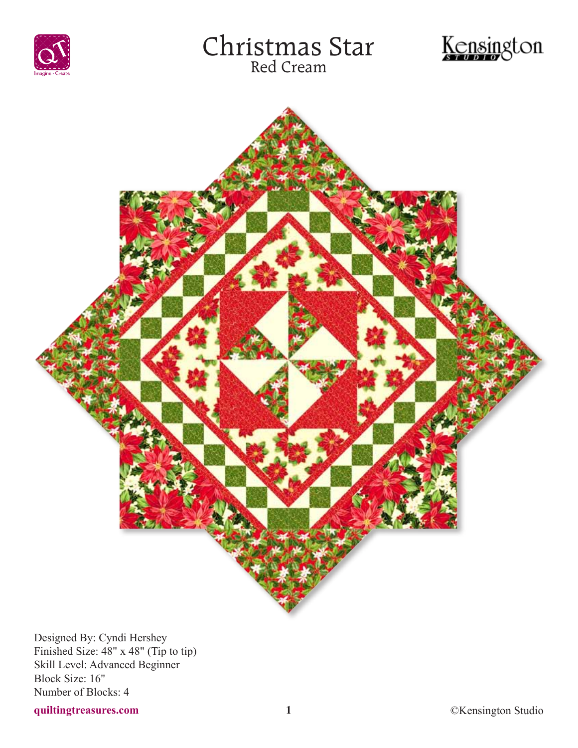





Designed By: Cyndi Hershey Finished Size: 48" x 48" (Tip to tip) Skill Level: Advanced Beginner Block Size: 16" Number of Blocks: 4

## **quiltingtreasures.com 1** ©Kensington Studio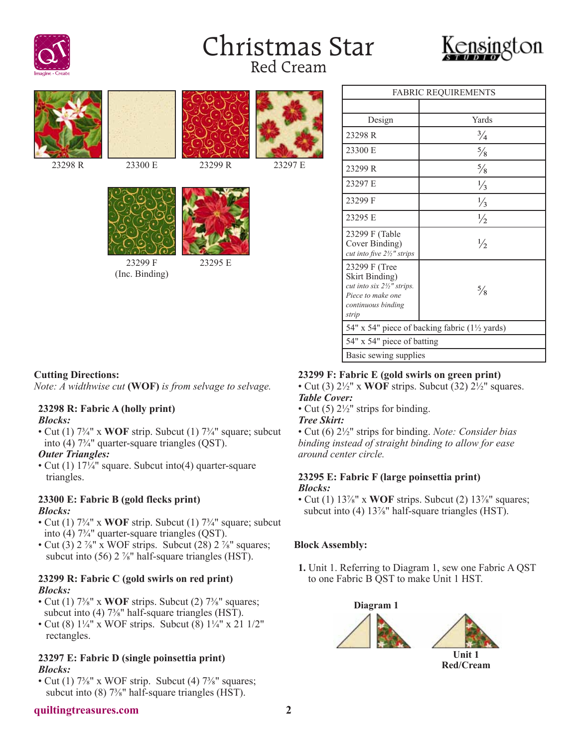





| <b>FABRIC REQUIREMENTS</b>                                                                                        |               |
|-------------------------------------------------------------------------------------------------------------------|---------------|
|                                                                                                                   |               |
| Design                                                                                                            | Yards         |
| 23298 R                                                                                                           | $\frac{3}{4}$ |
| 23300 E                                                                                                           | $\frac{5}{8}$ |
| 23299 R                                                                                                           | $\frac{5}{8}$ |
| 23297 E                                                                                                           | $\frac{1}{3}$ |
| 23299 F                                                                                                           | $\frac{1}{3}$ |
| 23295 E                                                                                                           | $\frac{1}{2}$ |
| 23299 F (Table<br>Cover Binding)<br>cut into five 21/2" strips                                                    | $\frac{1}{2}$ |
| 23299 F (Tree<br>Skirt Binding)<br>cut into six 21/2" strips.<br>Piece to make one<br>continuous binding<br>strip | $\frac{5}{8}$ |
| 54" x 54" piece of backing fabric (1½ yards)                                                                      |               |
| 54" x 54" piece of batting                                                                                        |               |
| Basic sewing supplies                                                                                             |               |

#### **Cutting Directions:**

*Note: A widthwise cut* **(WOF)** *is from selvage to selvage.*

#### **23298 R: Fabric A (holly print)** *Blocks:*

• Cut (1)  $7\frac{3}{4}$ " x WOF strip. Subcut (1)  $7\frac{3}{4}$ " square; subcut into (4) 7¾" quarter-square triangles (QST).

#### *Outer Triangles:*

• Cut (1) 17¼" square. Subcut into (4) quarter-square triangles.

### **23300 E: Fabric B (gold flecks print)** *Blocks:*

- Cut (1)  $7\frac{3}{4}$ " x WOF strip. Subcut (1)  $7\frac{3}{4}$ " square; subcut into (4) 7¾" quarter-square triangles (QST).
- Cut (3)  $2\frac{7}{8}$ " x WOF strips. Subcut (28)  $2\frac{7}{8}$ " squares; subcut into (56) 2 <sup>7/8</sup>" half-square triangles (HST).

### **23299 R: Fabric C (gold swirls on red print)** *Blocks:*

- Cut (1)  $7\frac{3}{8}$ " x WOF strips. Subcut (2)  $7\frac{3}{8}$ " squares; subcut into (4) 7<sup>3</sup>/<sub>8</sub>" half-square triangles (HST).
- Cut (8)  $1\frac{1}{4}$ " x WOF strips. Subcut (8)  $1\frac{1}{4}$ " x 21  $1/2$ " rectangles.

#### **23297 E: Fabric D (single poinsettia print)** *Blocks:*

• Cut (1)  $7\frac{3}{8}$ " x WOF strip. Subcut (4)  $7\frac{3}{8}$ " squares; subcut into (8) 7<sup>3</sup>/<sub>8</sub>" half-square triangles (HST).

## **23299 F: Fabric E (gold swirls on green print)**

• Cut (3) 2½" x **WOF** strips. Subcut (32) 2½" squares. *Table Cover:*

• Cut (5)  $2\frac{1}{2}$ " strips for binding.

#### *Tree Skirt:*

• Cut (6) 2½" strips for binding. *Note: Consider bias binding instead of straight binding to allow for ease around center circle.*

#### **23295 E: Fabric F (large poinsettia print)** *Blocks:*

• Cut (1) 13<sup>7</sup>/<sub>8</sub>" x **WOF** strips. Subcut (2) 13<sup>7</sup>/<sub>8</sub>" squares; subcut into (4) 13<sup>7</sup>/<sub>8</sub>" half-square triangles (HST).

## **Block Assembly:**

**1.** Unit 1. Referring to Diagram 1, sew one Fabric A QST to one Fabric B QST to make Unit 1 HST.





**Red/Cream**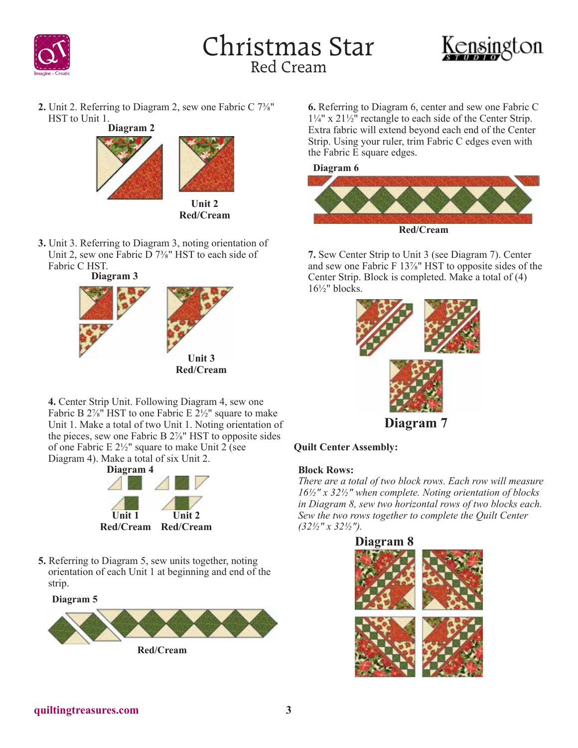



**2.** Unit 2. Referring to Diagram 2, sew one Fabric C 7⅜" HST to Unit 1.



**Unit 2 Red/Cream**

**3.** Unit 3. Referring to Diagram 3, noting orientation of Unit 2, sew one Fabric D 7<sup>3</sup>/<sub>8</sub>" HST to each side of Fabric C HST.

**Diagram 3**



**4.** Center Strip Unit. Following Diagram 4, sew one Fabric B  $2\frac{7}{8}$ " HST to one Fabric E  $2\frac{1}{2}$ " square to make Unit 1. Make a total of two Unit 1. Noting orientation of the pieces, sew one Fabric B 2⅞" HST to opposite sides of one Fabric E  $2\frac{1}{2}$ " square to make Unit 2 (see Diagram 4). Make a total of six Unit 2.



**5.** Referring to Diagram 5, sew units together, noting orientation of each Unit 1 at beginning and end of the strip.

**Diagram 5**



**6.** Referring to Diagram 6, center and sew one Fabric C 1¼" x 21½" rectangle to each side of the Center Strip. Extra fabric will extend beyond each end of the Center Strip. Using your ruler, trim Fabric C edges even with the Fabric E square edges.





**7.** Sew Center Strip to Unit 3 (see Diagram 7). Center and sew one Fabric F 13⅞" HST to opposite sides of the Center Strip. Block is completed. Make a total of (4)  $16\frac{1}{2}$ " blocks.



## **Quilt Center Assembly:**

## **Block Rows:**

*There are a total of two block rows. Each row will measure 16½" x 32½" when complete. Noting orientation of blocks in Diagram 8, sew two horizontal rows of two blocks each. Sew the two rows together to complete the Quilt Center (32½" x 32½").*